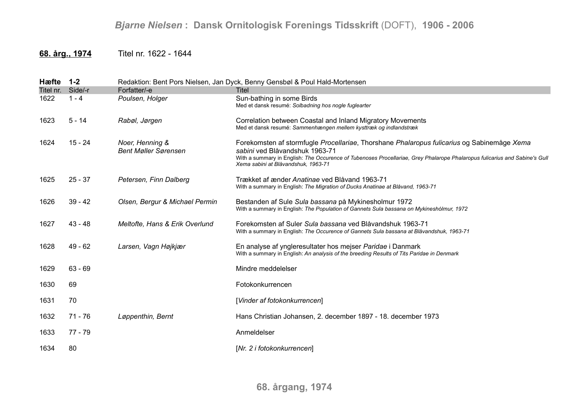## **68. årg., 1974** Titel nr. 1622 - 1644

| Hæfte     | $1 - 2$   | Redaktion: Bent Pors Nielsen, Jan Dyck, Benny Gensbøl & Poul Hald-Mortensen |                                                                                                                                                                                                                                                                                                   |  |
|-----------|-----------|-----------------------------------------------------------------------------|---------------------------------------------------------------------------------------------------------------------------------------------------------------------------------------------------------------------------------------------------------------------------------------------------|--|
| Titel nr. | Side/-r   | Forfatter/-e                                                                | Titel                                                                                                                                                                                                                                                                                             |  |
| 1622      | $1 - 4$   | Poulsen, Holger                                                             | Sun-bathing in some Birds<br>Med et dansk resumé: Solbadning hos nogle fuglearter                                                                                                                                                                                                                 |  |
| 1623      | $5 - 14$  | Rabøl, Jørgen                                                               | Correlation between Coastal and Inland Migratory Movements<br>Med et dansk resumé: Sammenhængen mellem kysttræk og indlandstræk                                                                                                                                                                   |  |
| 1624      | 15 - 24   | Noer, Henning &<br><b>Bent Møller Sørensen</b>                              | Forekomsten af stormfugle Procellariae, Thorshane Phalaropus fulicarius og Sabinemåge Xema<br>sabini ved Blåvandshuk 1963-71<br>With a summary in English: The Occurence of Tubenoses Procellariae, Grey Phalarope Phalaropus fulicarius and Sabine's Gull<br>Xema sabini at Blåvandshuk, 1963-71 |  |
| 1625      | $25 - 37$ | Petersen, Finn Dalberg                                                      | Trækket af ænder Anatinae ved Blåvand 1963-71<br>With a summary in English: The Migration of Ducks Anatinae at Blåvand, 1963-71                                                                                                                                                                   |  |
| 1626      | $39 - 42$ | Olsen, Bergur & Michael Permin                                              | Bestanden af Sule Sula bassana på Mykinesholmur 1972<br>With a summary in English: The Population of Gannets Sula bassana on Mykineshólmur, 1972                                                                                                                                                  |  |
| 1627      | 43 - 48   | Meltofte, Hans & Erik Overlund                                              | Forekomsten af Suler Sula bassana ved Blåvandshuk 1963-71<br>With a summary in English: The Occurence of Gannets Sula bassana at Blåvandshuk, 1963-71                                                                                                                                             |  |
| 1628      | 49 - 62   | Larsen, Vagn Højkjær                                                        | En analyse af yngleresultater hos mejser Paridae i Danmark<br>With a summary in English: An analysis of the breeding Results of Tits Paridae in Denmark                                                                                                                                           |  |
| 1629      | $63 - 69$ |                                                                             | Mindre meddelelser                                                                                                                                                                                                                                                                                |  |
| 1630      | 69        |                                                                             | Fotokonkurrencen                                                                                                                                                                                                                                                                                  |  |
| 1631      | 70        |                                                                             | [Vinder af fotokonkurrencen]                                                                                                                                                                                                                                                                      |  |
| 1632      | $71 - 76$ | Løppenthin, Bernt                                                           | Hans Christian Johansen, 2. december 1897 - 18. december 1973                                                                                                                                                                                                                                     |  |
| 1633      | 77 - 79   |                                                                             | Anmeldelser                                                                                                                                                                                                                                                                                       |  |
| 1634      | 80        |                                                                             | [Nr. 2 i fotokonkurrencen]                                                                                                                                                                                                                                                                        |  |